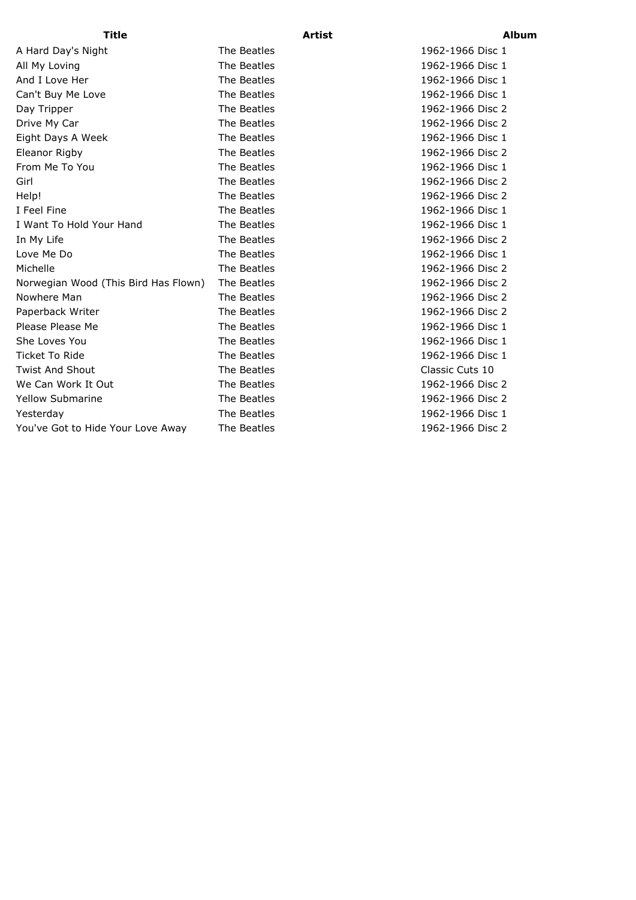A Hard Day's Night The Beatles 1962-1966 Disc 1 All My Loving **The Beatles** 1962-1966 Disc 1 And I Love Her The Beatles 1962-1966 Disc 1 Can't Buy Me Love **The Beatles** The Beatles 1962-1966 Disc 1 Day Tripper The Beatles 1962-1966 Disc 2 Drive My Car **The Beatles** 1962-1966 Disc 2 Eight Days A Week The Beatles 1962-1966 Disc 1 Eleanor Rigby **The Beatles** 1962-1966 Disc 2 From Me To You **The Beatles** 1962-1966 Disc 1 Girl **The Beatles** 1962-1966 Disc 2 Help! The Beatles 1962-1966 Disc 2 I Feel Fine The Beatles 1962-1966 Disc 1 I Want To Hold Your Hand The Beatles 1962-1966 Disc 1 In My Life The Beatles The Beatles 1962-1966 Disc 2 Love Me Do **The Beatles** 1962-1966 Disc 1 Michelle The Beatles 1962-1966 Disc 2 Norwegian Wood (This Bird Has Flown) The Beatles 1962-1966 Disc 2 Nowhere Man Nowhere Man Nowhere Man Nowhere Man Nowhere Man Now The Beatles Now 1962-1966 Disc 2 Paperback Writer The Beatles 1962-1966 Disc 2 Please Please Me **The Beatles** 1962-1966 Disc 1 She Loves You **She Loves You** The Beatles 1962-1966 Disc 1 Ticket To Ride The Beatles The Beatles 1962-1966 Disc 1 Twist And Shout The Beatles The Beatles Classic Cuts 10 We Can Work It Out The Beatles The Beatles 1962-1966 Disc 2 Yellow Submarine The Beatles 1962-1966 Disc 2 Yesterday The Beatles 1962-1966 Disc 1 You've Got to Hide Your Love Away The Beatles 1962-1966 Disc 2

## **Title Artist Album**